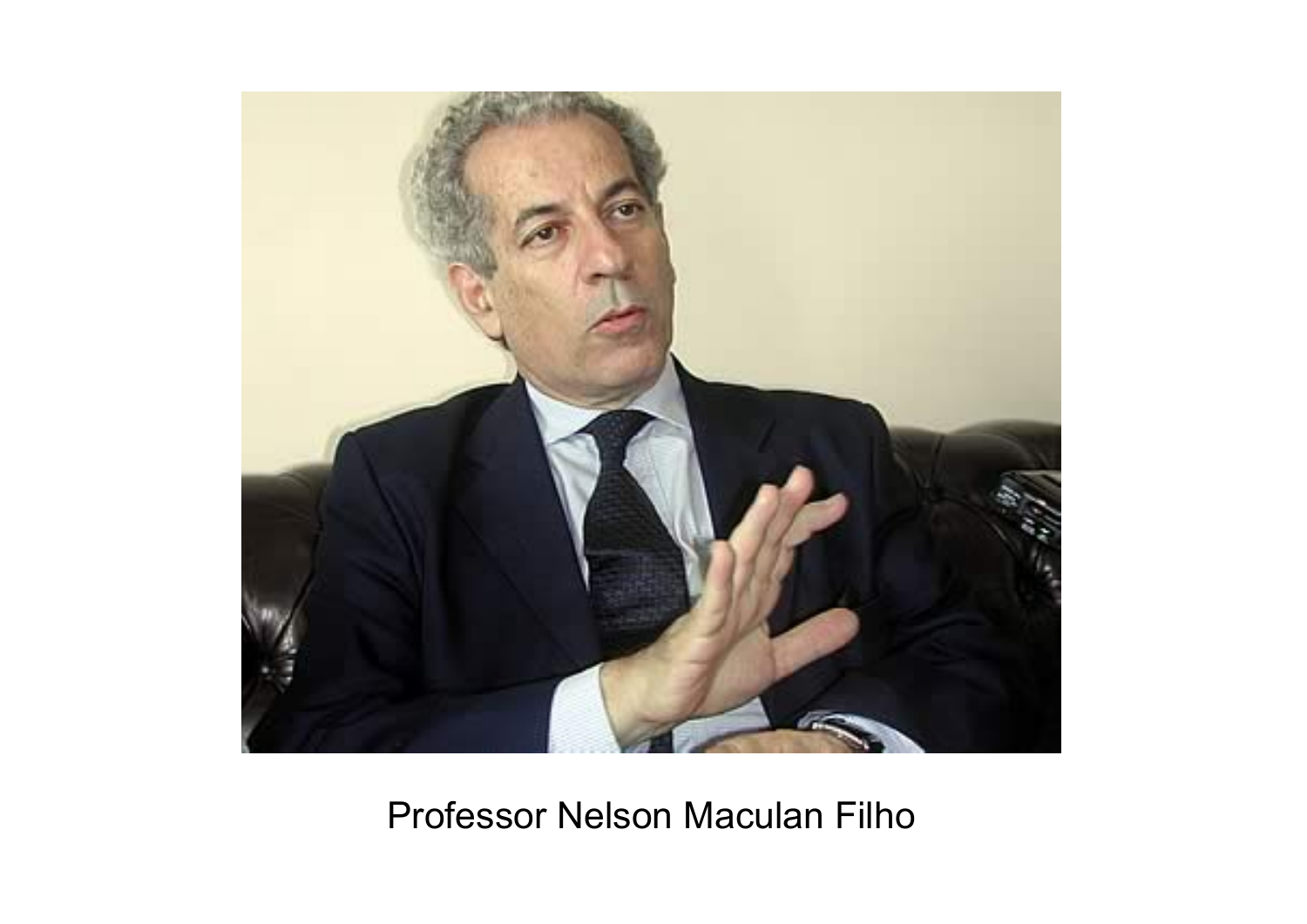

Professor Nelson Maculan Filho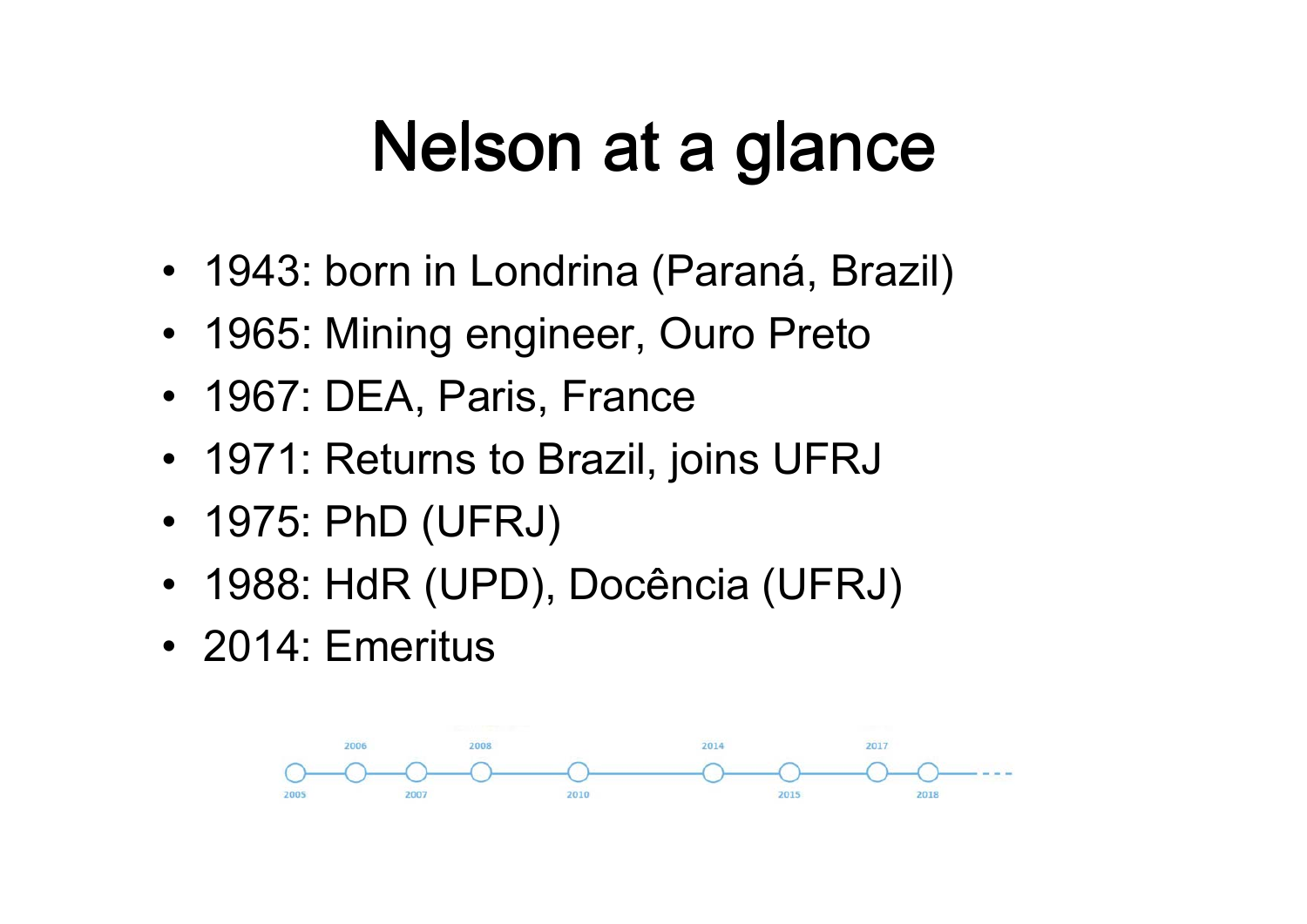# Nelson at a glance Nelson at a glance

- 1943: born in Londrina (Paraná, Brazil)
- 1965: Mining engineer, Ouro Preto
- 1967: DEA, Paris, France
- 1971: Returns to Brazil, joins UFRJ
- 1975: PhD (UFRJ)
- 1988: HdR (UPD), Docência (UFRJ)
- 2014: Emeritus

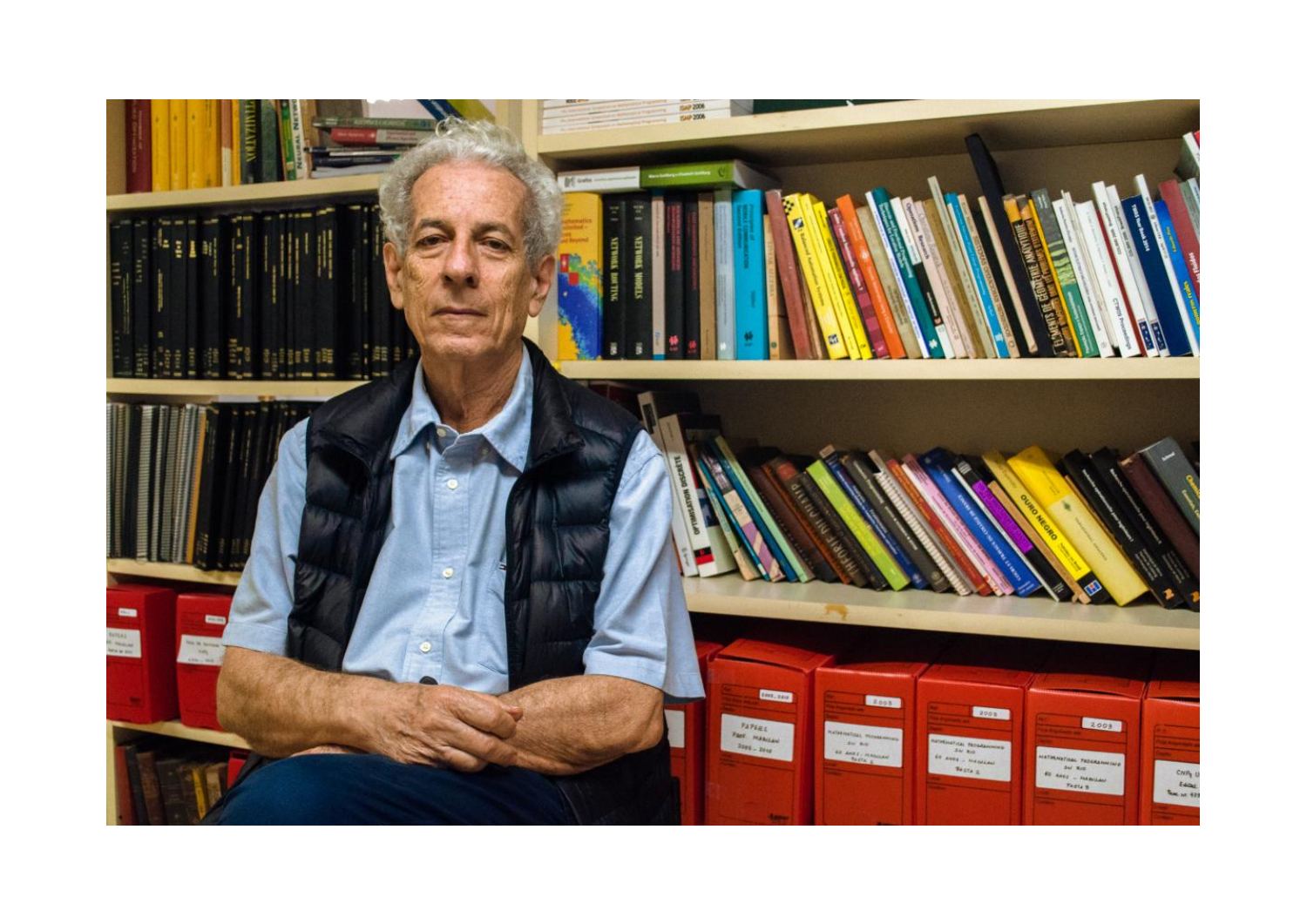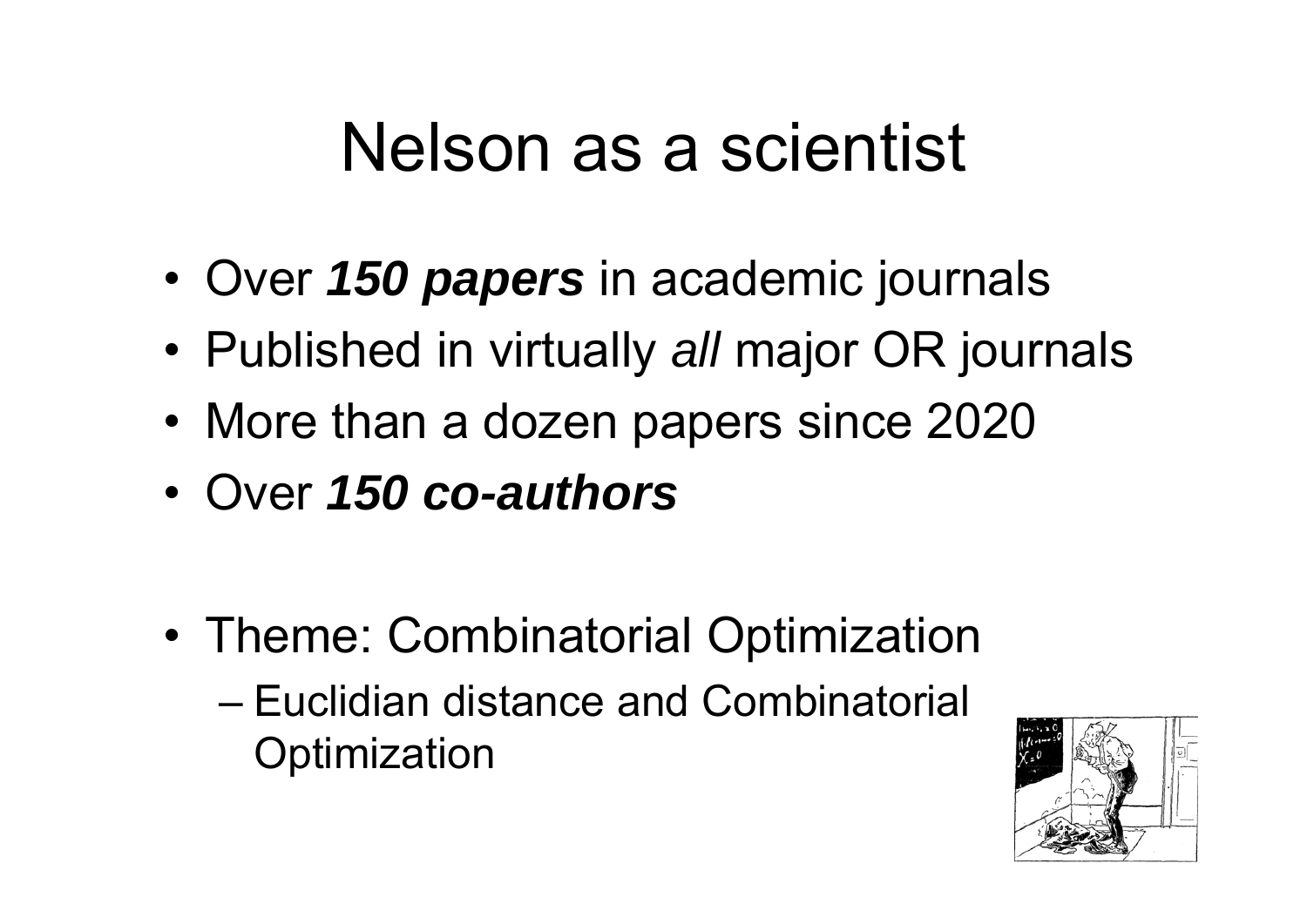## Nelson as a scientist

- •Over *150 papers* in academic journals
- •Published in virtually *all* major OR journals
- More than a dozen papers since 2020
- •Over *150 co-authors*
- • Theme: Combinatorial Optimization
	- Euclidian distance and Combinatorial **Optimization**

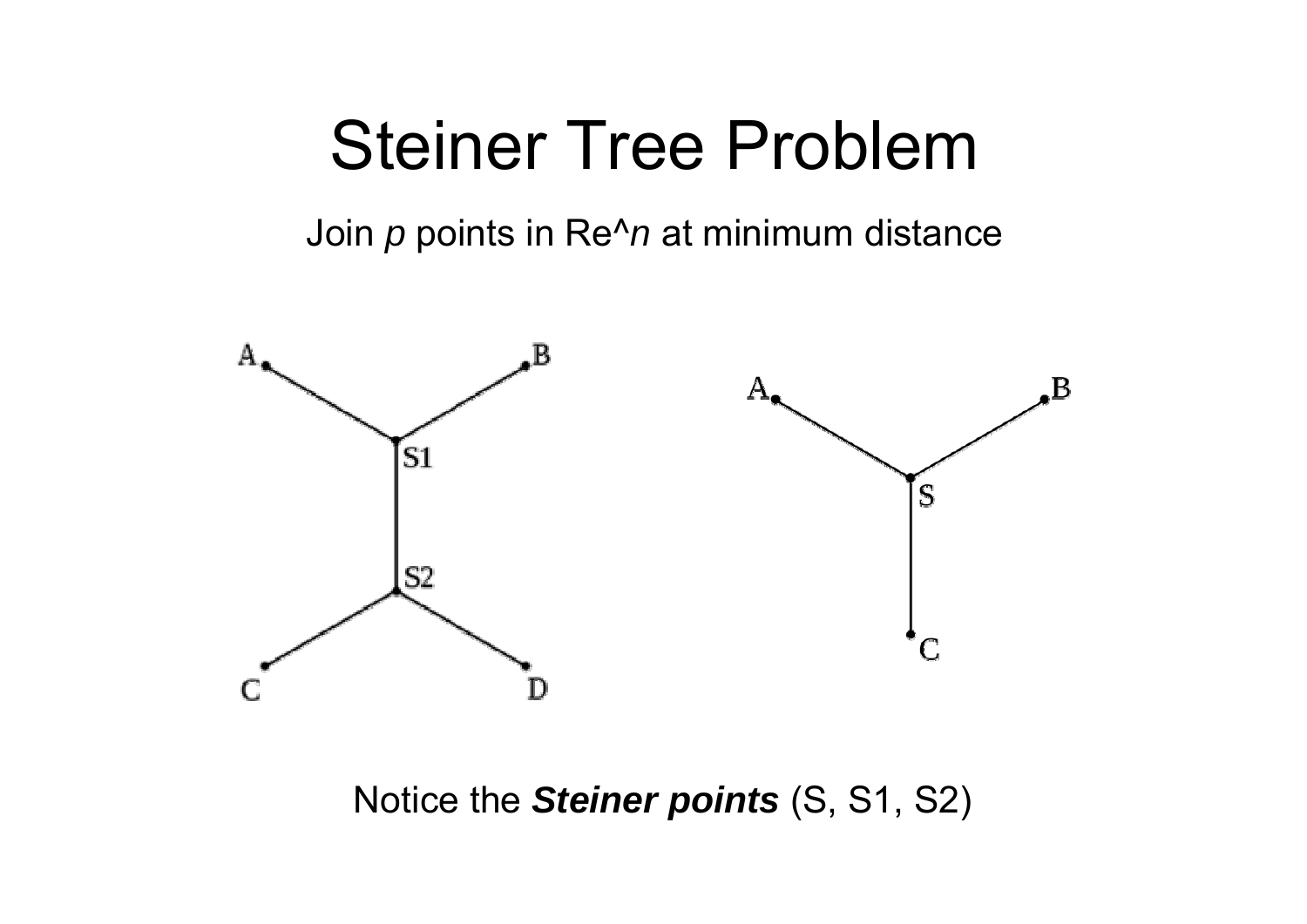#### Steiner Tree Problem

Join *p* points in Re^ *n* at minimum distance



Notice the *Steiner points* (S, S1, S2)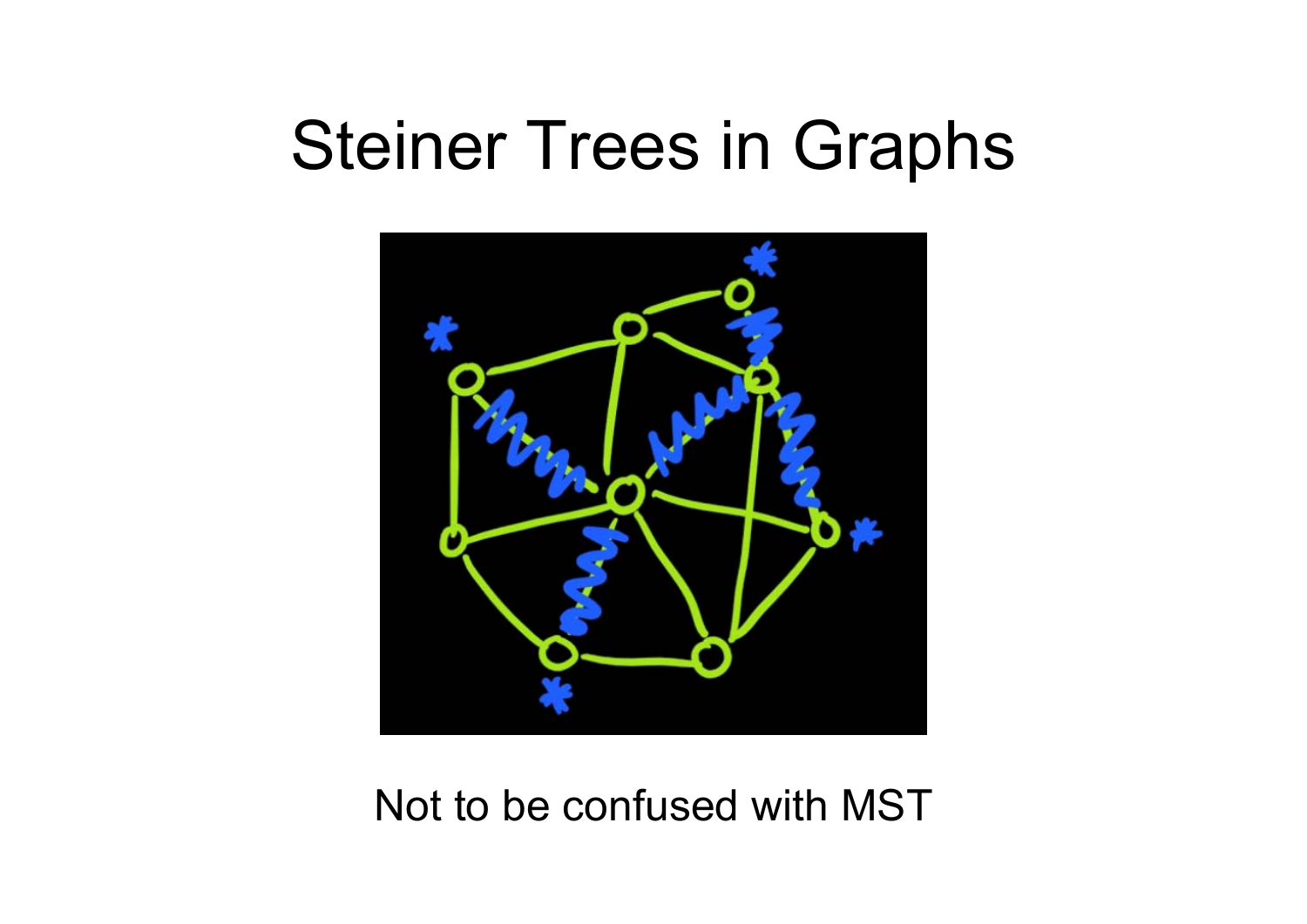#### Steiner Trees in Graphs



Not to be confused with MST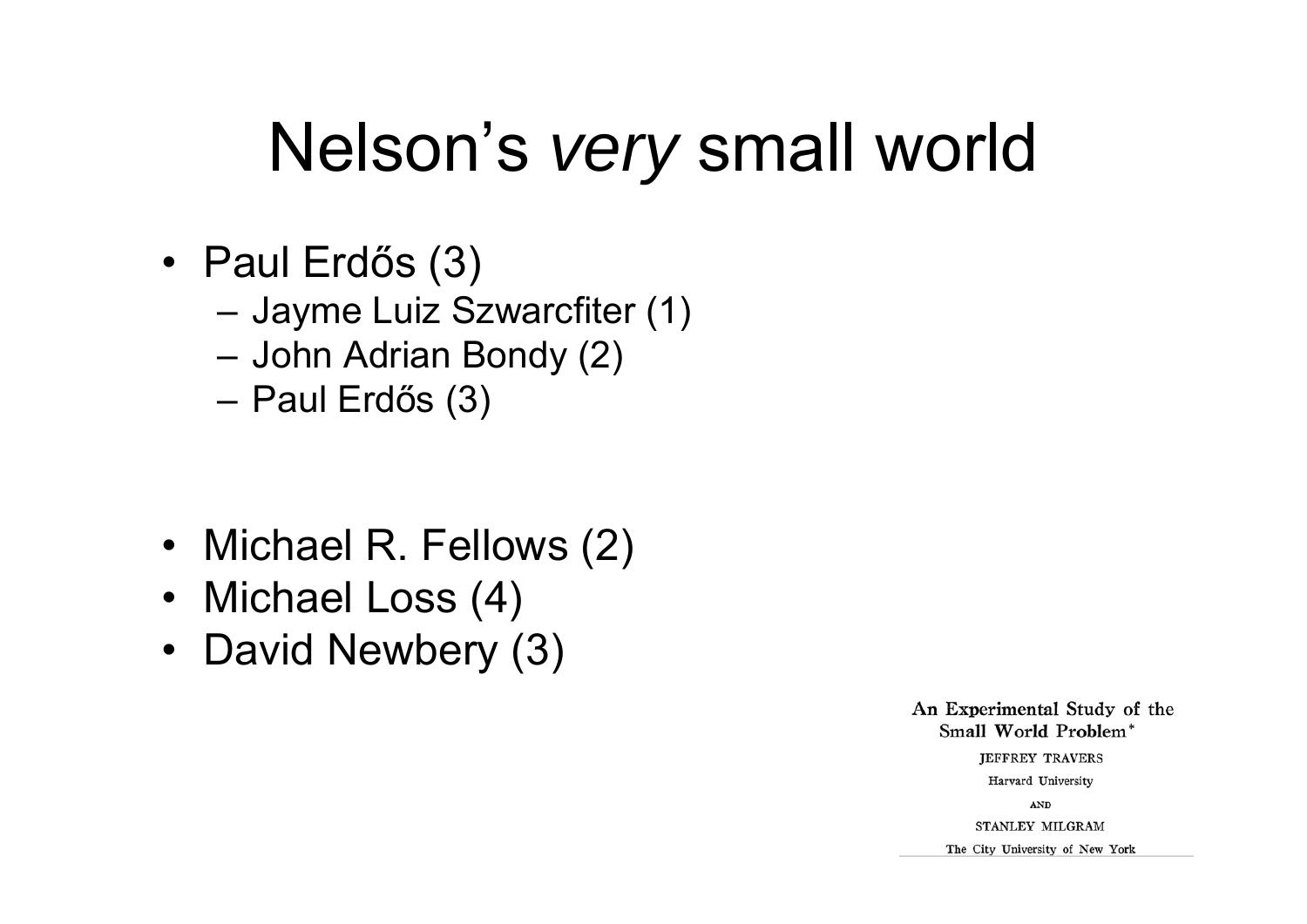# Nelson's *very* small world

- Paul Erdős (3)
	- Jayme Luiz Szwarcfiter (1)
	- –John Adrian Bondy (2)
	- Paul Erdős (3)

- Michael R. Fellows (2)
- Michael Loss (4)
- David Newbery (3)

An Experimental Study of the Small World Problem<sup>\*</sup> **JEFFREY TRAVERS** Harvard University AND STANLEY MILGRAM The City University of New York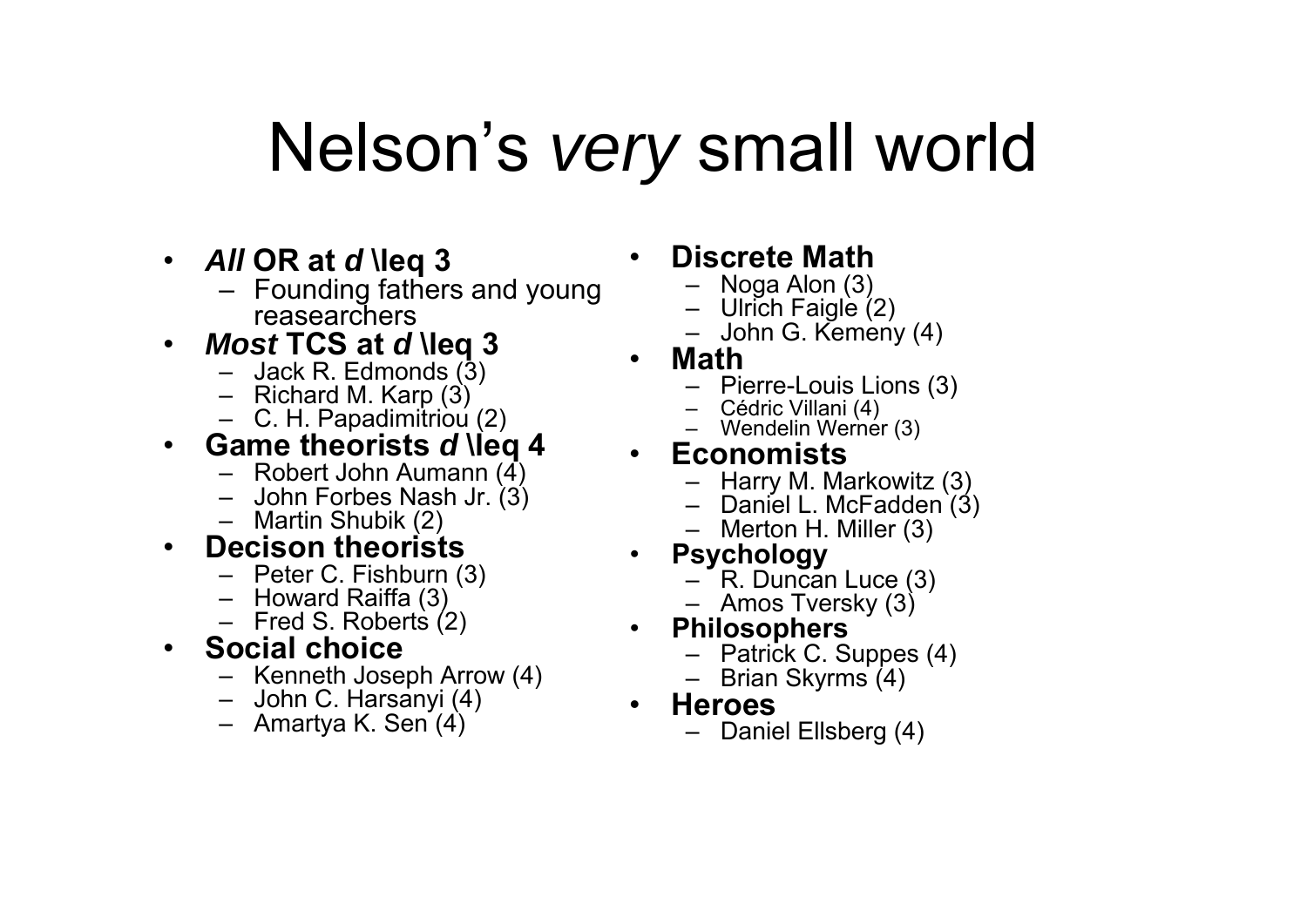# Nelson's *very* small world

- $\bullet$  *All* **OR at** *d* **\leq 3**
	- Founding fathers and young reasearchers
- • *Most* **TCS at** *d* **\leq 3**
	- Jack R. Edmonds (3)
	- Richard M. Karp (3)
	- C. H. Papadimitriou (2)
- • **Game theorists** *d* **\leq 4**
	- Robert John Aumann (4)
	- John Forbes Nash Jr. (3)
	- Martin Shubik (2)
- • **Decison theorists**
	- Peter C. Fishburn (3)
	- Howard Raiffa (3)
	- Fred S. Roberts (2)
- • **Social choice**
	- Kenneth Joseph Arrow (4)
	- John C. Harsanyi (4)
	- Amartya K. Sen (4)
- • **Discrete Math**
	- Noga Alon (3)
	- Ulrich Faigle (2)
	- John G. Kemeny (4)
- • **Math**
	- Pierre-Louis Lions (3)
	- Cédric Villani (4)
	- Wendelin Werner (3)
- **Economists**
	- Harry M. Markowitz (3)
	- Daniel L. McFadden (3)
	- Merton H. Miller (3)
- **Psychology**
	- R. Duncan Luce (3)
	- Amos Tversky (3)
- **Philosophers**
	- Patrick C. Suppes (4)
	- Brian Skyrms (4)
- • **Heroes**
	- –Daniel Ellsberg (4)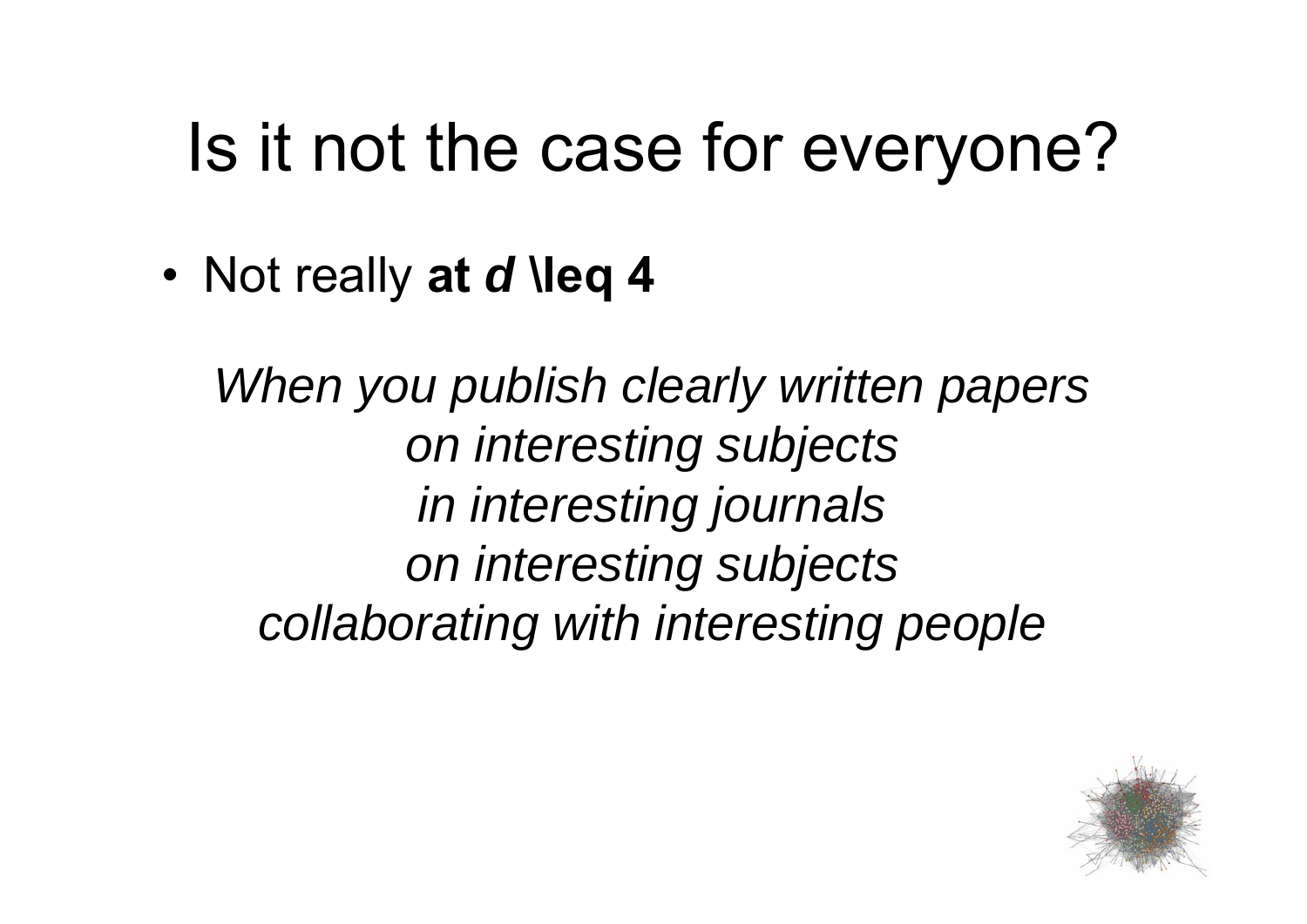## Is it not the case for everyone?

•Not really **at** *d* **\leq 4**

> *When you publish clearly written papers on interesting subjects in interesting journals on interesting subjects collaborating with interesting people*

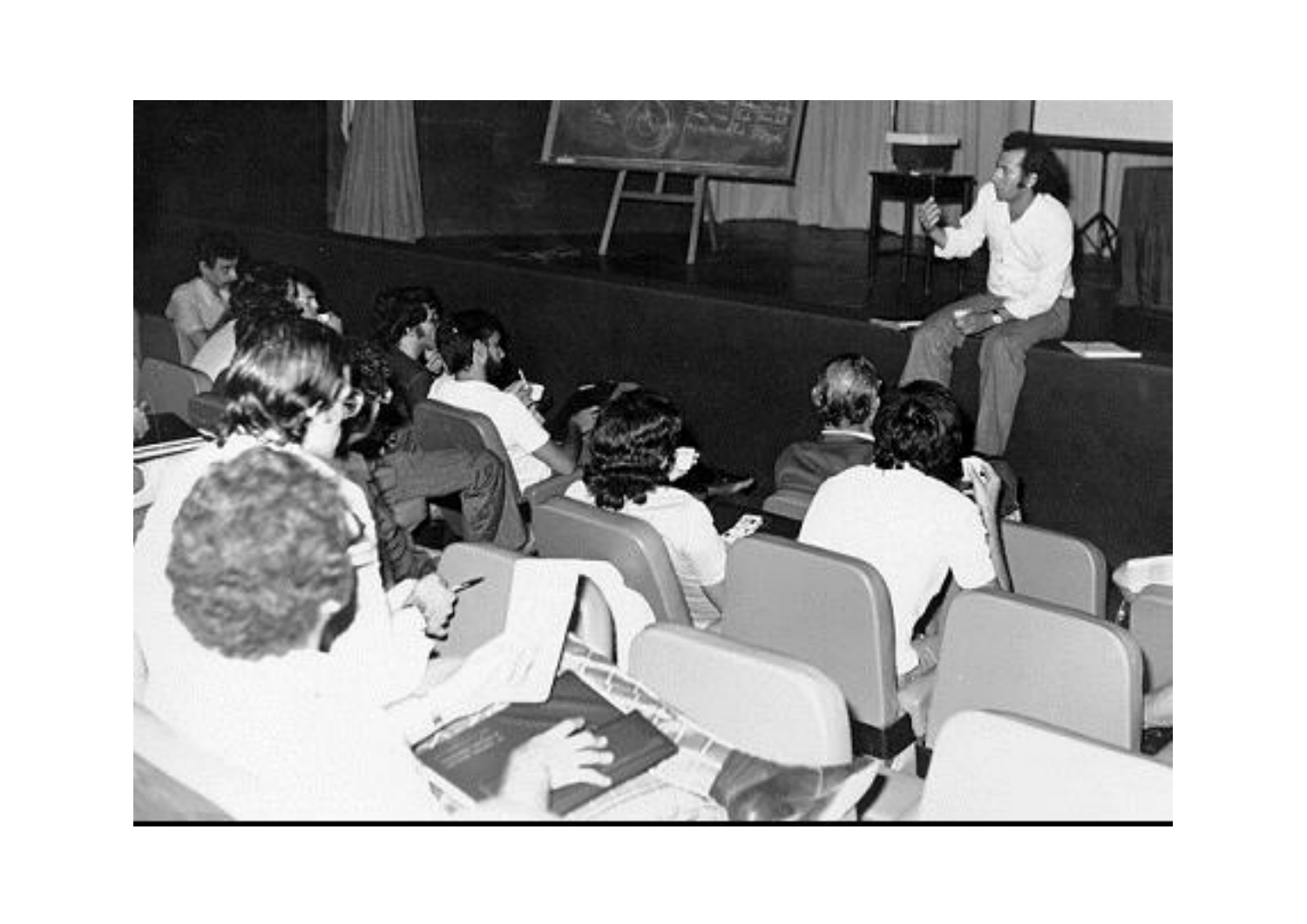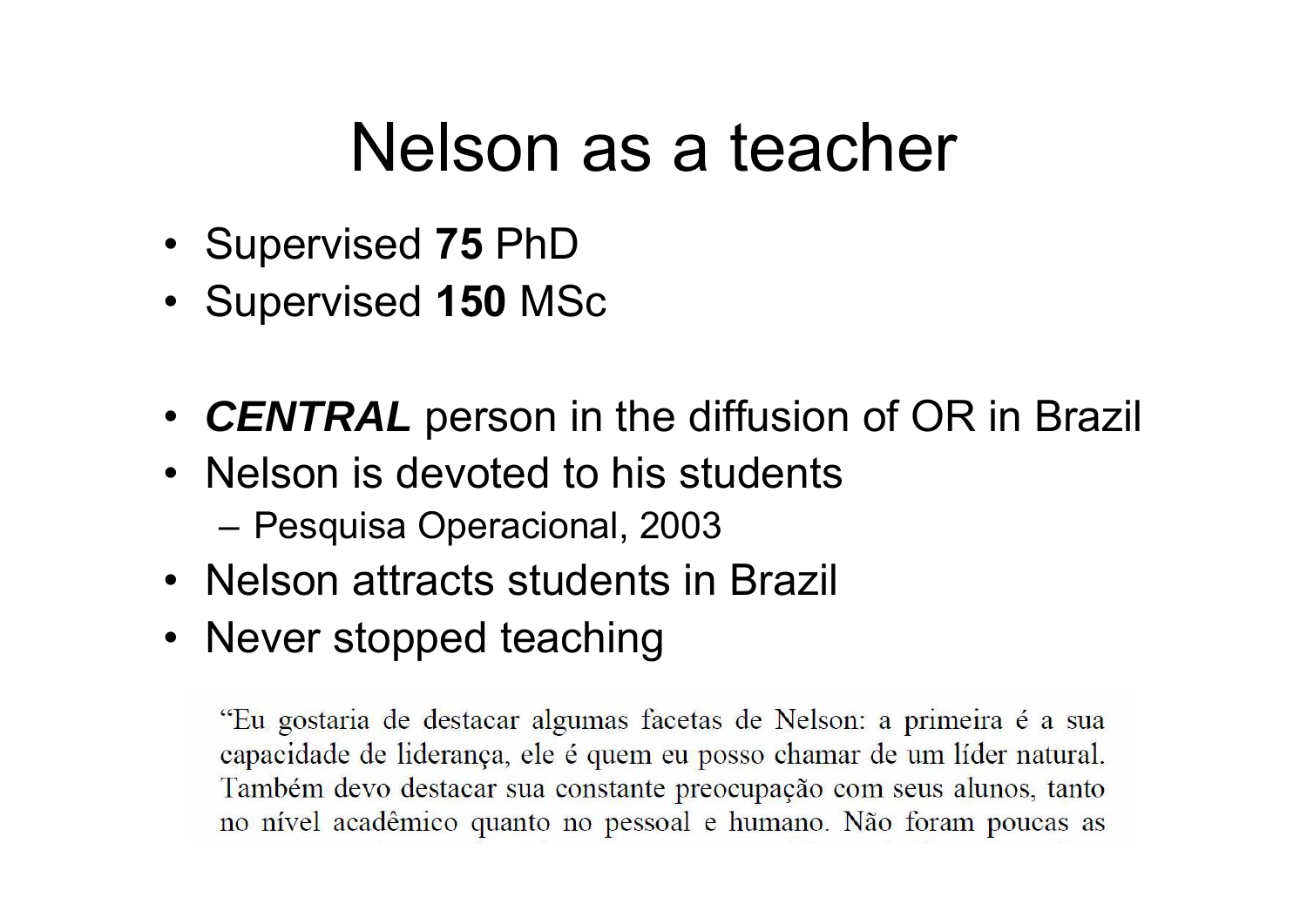## Nelson as a teacher

- Supervised **75** PhD
- Supervised **150** MSc
- $\bullet$ *CENTRAL* person in the diffusion of OR in Brazil
- Nelson is devoted to his students
	- Pesquisa Operacional, 2003
- Nelson attracts students in Brazil
- Never stopped teaching

"Eu gostaria de destacar algumas facetas de Nelson: a primeira é a sua capacidade de liderança, ele é quem eu posso chamar de um líder natural. Também devo destacar sua constante preocupação com seus alunos, tanto no nível acadêmico quanto no pessoal e humano. Não foram poucas as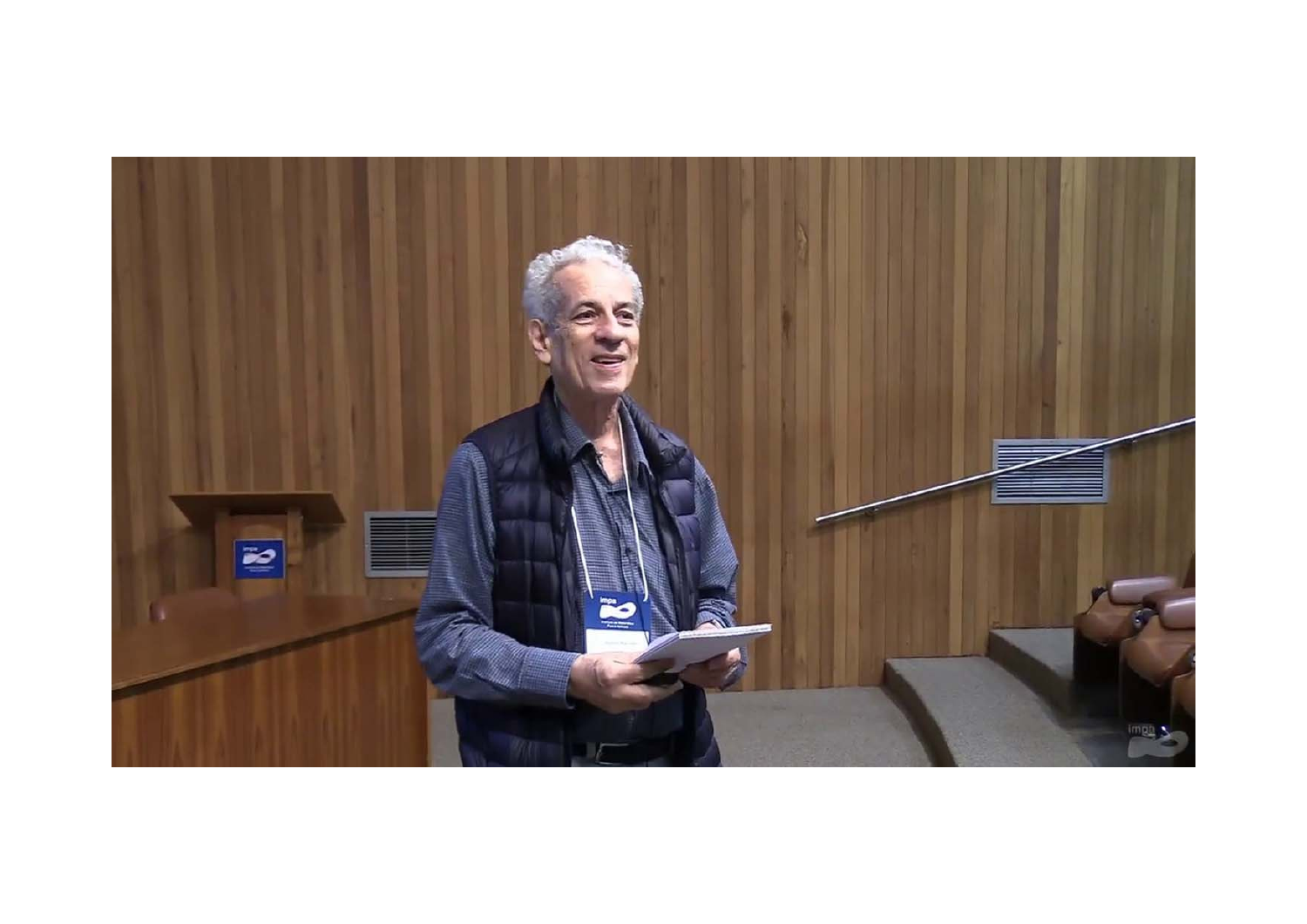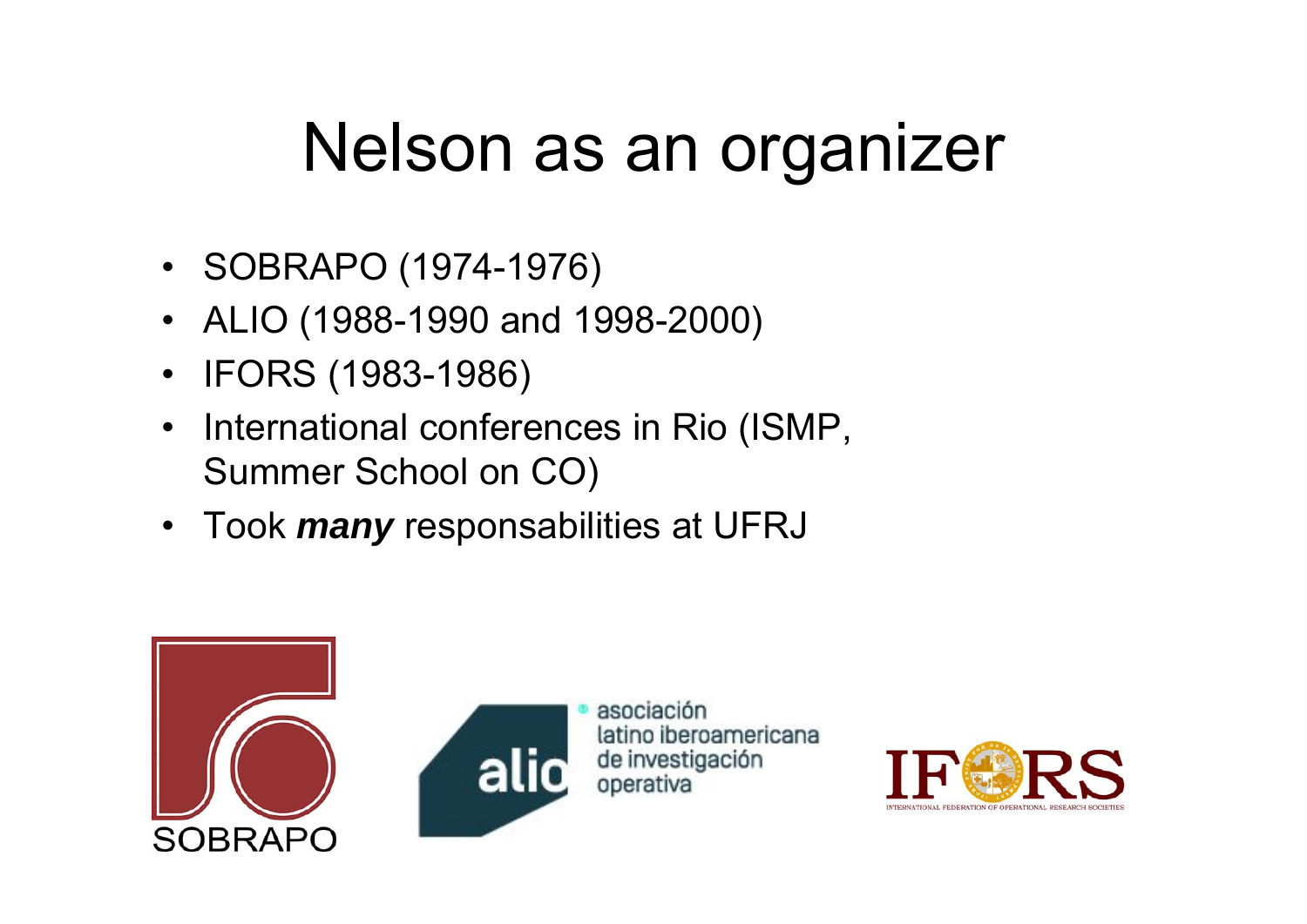## Nelson as an organizer

- SOBRAPO (1974-1976)
- $\bullet$ ALIO (1988-1990 and 1998-2000)
- IFORS (1983-1986)
- $\bullet$  International conferences in Rio (ISMP, Summer School on CO)
- Took *many* responsabilities at UFRJ



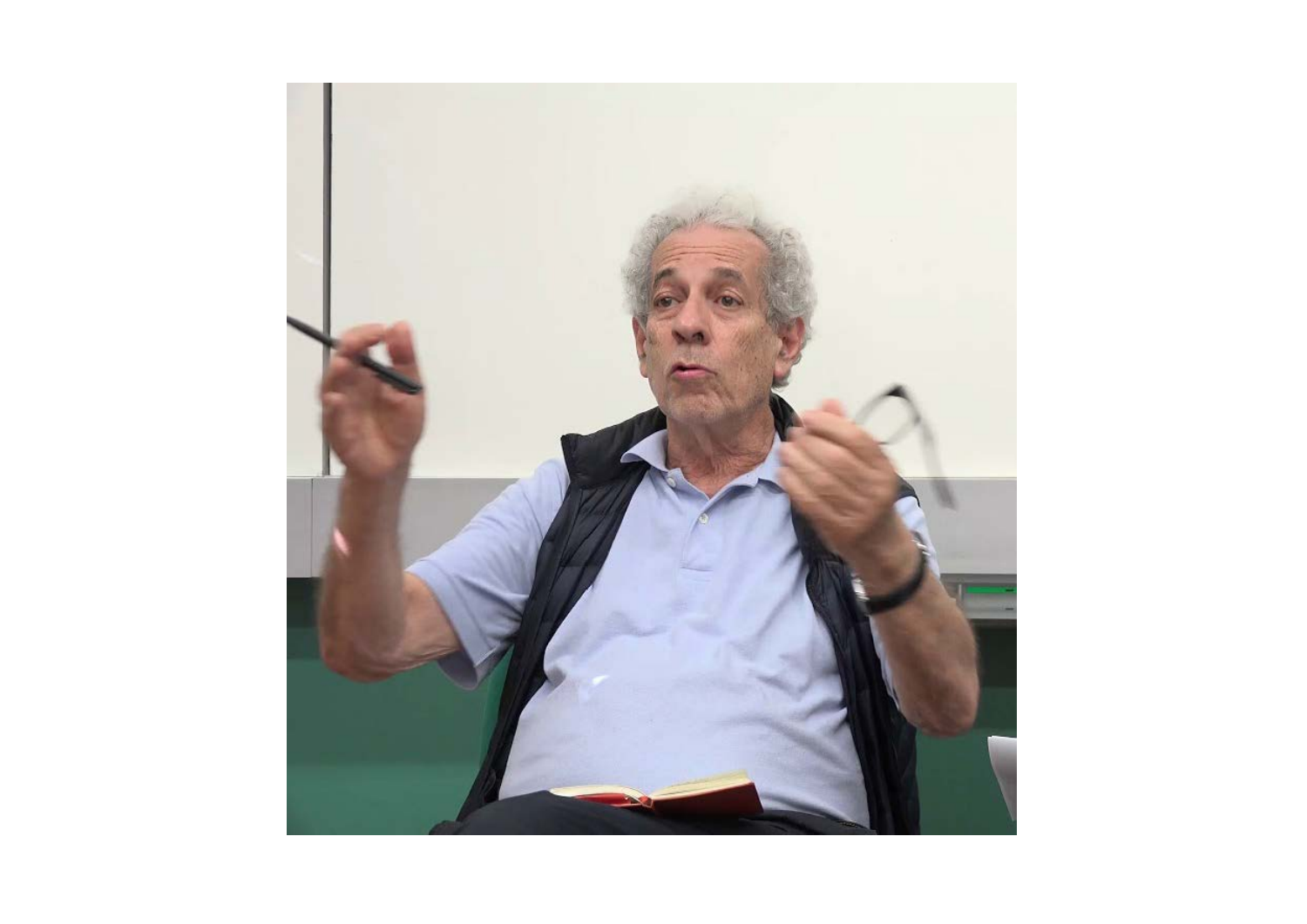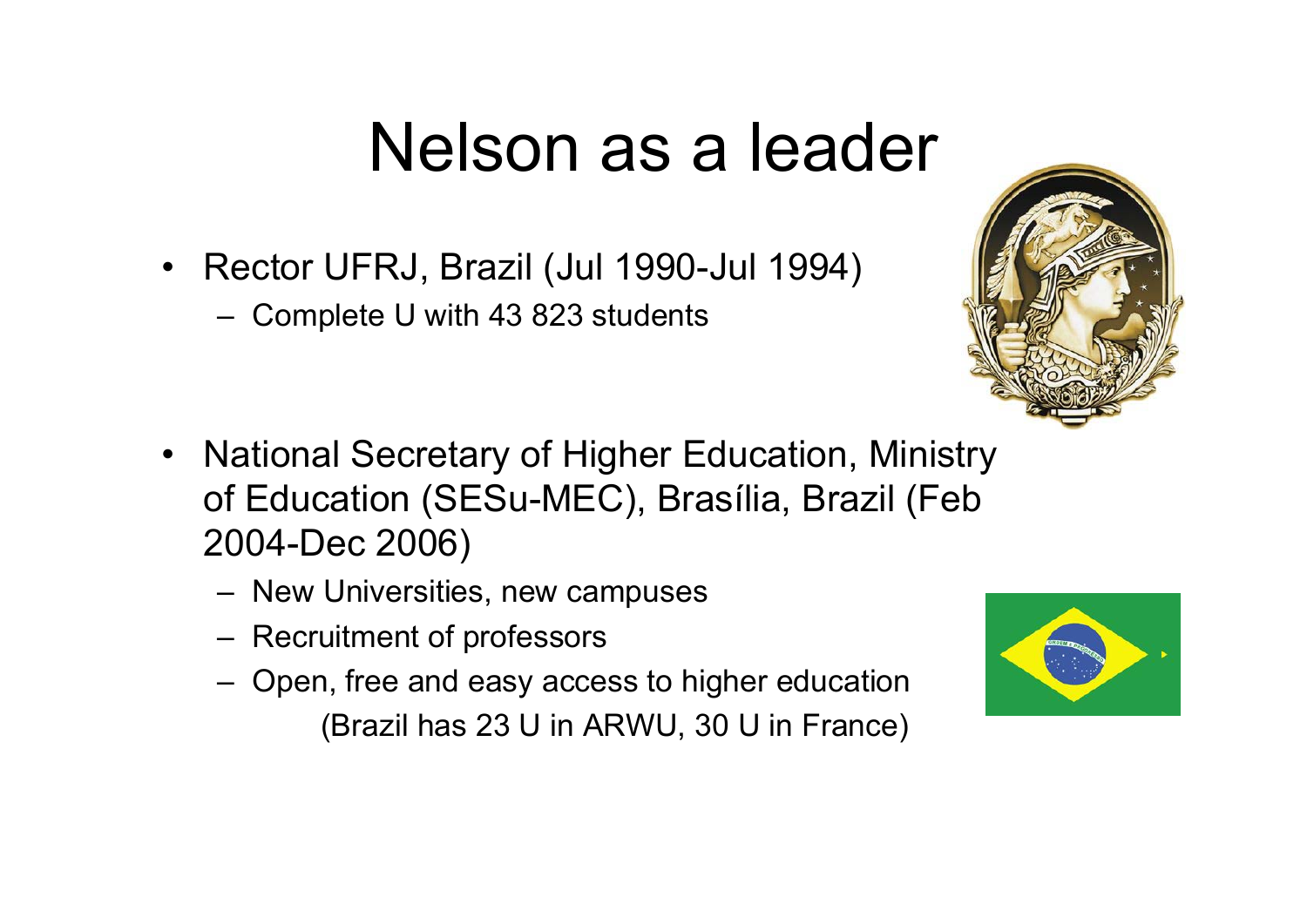## Nelson as a leader

- Rector UFRJ, Brazil (Jul 1990-Jul 1994)
	- Complete U with 43 823 students



- National Secretary of Higher Education, Ministry of Education (SESu-MEC), Brasília, Brazil (Feb 2004-Dec 2006)
	- New Universities, new campuses
	- Recruitment of professors
	- Open, free and easy access to higher education (Brazil has 23 U in ARWU, 30 U in France)